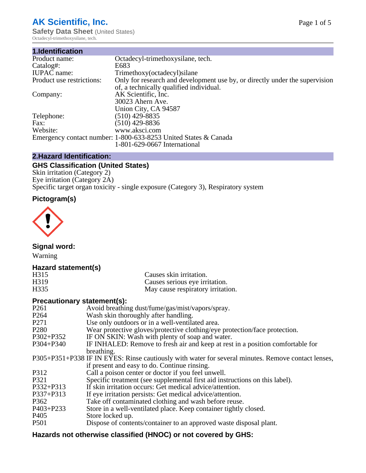# **AK Scientific, Inc.**

**Safety Data Sheet (United States)** Octadecyl-trimethoxysilane, tech.

| 1.Identification          |                                                                             |
|---------------------------|-----------------------------------------------------------------------------|
| Product name:             | Octadecyl-trimethoxysilane, tech.                                           |
| Catalog#:                 | E683                                                                        |
| <b>IUPAC</b> name:        | Trimethoxy(octadecyl)silane                                                 |
| Product use restrictions: | Only for research and development use by, or directly under the supervision |
|                           | of, a technically qualified individual.                                     |
| Company:                  | AK Scientific, Inc.                                                         |
|                           | 30023 Ahern Ave.                                                            |
|                           | Union City, CA 94587                                                        |
| Telephone:                | $(510)$ 429-8835                                                            |
| Fax:                      | $(510)$ 429-8836                                                            |
| Website:                  | www.aksci.com                                                               |
|                           | Emergency contact number: 1-800-633-8253 United States & Canada             |
|                           | 1-801-629-0667 International                                                |

## **2.Hazard Identification:**

# **GHS Classification (United States)**

Skin irritation (Category 2) Eye irritation (Category 2A) Specific target organ toxicity - single exposure (Category 3), Respiratory system

# **Pictogram(s)**



**Signal word:**

Warning

## **Hazard statement(s)**

| H315              | Causes skin irritation.           |
|-------------------|-----------------------------------|
| H <sub>3</sub> 19 | Causes serious eye irritation.    |
| H335              | May cause respiratory irritation. |

#### **Precautionary statement(s):**

| P <sub>261</sub> | Avoid breathing dust/fume/gas/mist/vapors/spray.                                                   |
|------------------|----------------------------------------------------------------------------------------------------|
| P <sub>264</sub> | Wash skin thoroughly after handling.                                                               |
| P <sub>271</sub> | Use only outdoors or in a well-ventilated area.                                                    |
| P <sub>280</sub> | Wear protective gloves/protective clothing/eye protection/face protection.                         |
| P302+P352        | IF ON SKIN: Wash with plenty of soap and water.                                                    |
| $P304 + P340$    | IF INHALED: Remove to fresh air and keep at rest in a position comfortable for                     |
|                  | breathing.                                                                                         |
|                  | P305+P351+P338 IF IN EYES: Rinse cautiously with water for several minutes. Remove contact lenses, |
|                  | if present and easy to do. Continue rinsing.                                                       |
| P312             | Call a poison center or doctor if you feel unwell.                                                 |
| P321             | Specific treatment (see supplemental first aid instructions on this label).                        |
| P332+P313        | If skin irritation occurs: Get medical advice/attention.                                           |
| P337+P313        | If eye irritation persists: Get medical advice/attention.                                          |
| P362             | Take off contaminated clothing and wash before reuse.                                              |
| $P403 + P233$    | Store in a well-ventilated place. Keep container tightly closed.                                   |
| P <sub>405</sub> | Store locked up.                                                                                   |
| P <sub>501</sub> | Dispose of contents/container to an approved waste disposal plant.                                 |
|                  |                                                                                                    |

# **Hazards not otherwise classified (HNOC) or not covered by GHS:**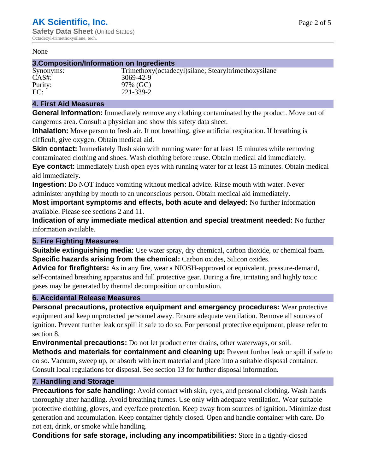#### None

#### **3.Composition/Information on Ingredients**

| Synonyms: |
|-----------|
| CAS#:     |
| Purity:   |
| EC:       |

Trimethoxy(octadecyl)silane; Stearyltrimethoxysilane 3069-42-9 97% (GC) EC: 221-339-2

#### **4. First Aid Measures**

**General Information:** Immediately remove any clothing contaminated by the product. Move out of dangerous area. Consult a physician and show this safety data sheet.

**Inhalation:** Move person to fresh air. If not breathing, give artificial respiration. If breathing is difficult, give oxygen. Obtain medical aid.

**Skin contact:** Immediately flush skin with running water for at least 15 minutes while removing contaminated clothing and shoes. Wash clothing before reuse. Obtain medical aid immediately. **Eye contact:** Immediately flush open eyes with running water for at least 15 minutes. Obtain medical aid immediately.

**Ingestion:** Do NOT induce vomiting without medical advice. Rinse mouth with water. Never administer anything by mouth to an unconscious person. Obtain medical aid immediately.

**Most important symptoms and effects, both acute and delayed:** No further information available. Please see sections 2 and 11.

**Indication of any immediate medical attention and special treatment needed:** No further information available.

#### **5. Fire Fighting Measures**

**Suitable extinguishing media:** Use water spray, dry chemical, carbon dioxide, or chemical foam. **Specific hazards arising from the chemical:** Carbon oxides, Silicon oxides.

**Advice for firefighters:** As in any fire, wear a NIOSH-approved or equivalent, pressure-demand, self-contained breathing apparatus and full protective gear. During a fire, irritating and highly toxic gases may be generated by thermal decomposition or combustion.

#### **6. Accidental Release Measures**

**Personal precautions, protective equipment and emergency procedures:** Wear protective equipment and keep unprotected personnel away. Ensure adequate ventilation. Remove all sources of ignition. Prevent further leak or spill if safe to do so. For personal protective equipment, please refer to section 8.

**Environmental precautions:** Do not let product enter drains, other waterways, or soil.

**Methods and materials for containment and cleaning up:** Prevent further leak or spill if safe to do so. Vacuum, sweep up, or absorb with inert material and place into a suitable disposal container. Consult local regulations for disposal. See section 13 for further disposal information.

#### **7. Handling and Storage**

**Precautions for safe handling:** Avoid contact with skin, eyes, and personal clothing. Wash hands thoroughly after handling. Avoid breathing fumes. Use only with adequate ventilation. Wear suitable protective clothing, gloves, and eye/face protection. Keep away from sources of ignition. Minimize dust generation and accumulation. Keep container tightly closed. Open and handle container with care. Do not eat, drink, or smoke while handling.

**Conditions for safe storage, including any incompatibilities:** Store in a tightly-closed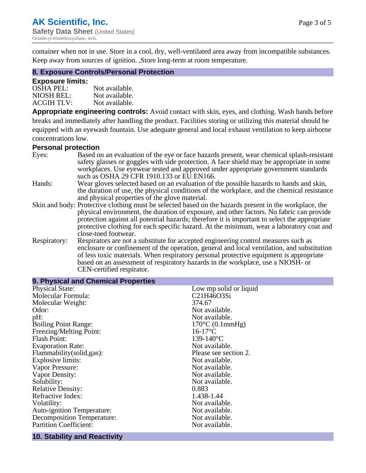container when not in use. Store in a cool, dry, well-ventilated area away from incompatible substances.

Keep away from sources of ignition. ,Store long-term at room temperature.

#### **8. Exposure Controls/Personal Protection**

#### **Exposure limits:**

| <b>OSHA PEL:</b>  | Not available. |
|-------------------|----------------|
| NIOSH REL:        | Not available. |
| <b>ACGIH TLV:</b> | Not available. |

**Appropriate engineering controls:** Avoid contact with skin, eyes, and clothing. Wash hands before breaks and immediately after handling the product. Facilities storing or utilizing this material should be equipped with an eyewash fountain. Use adequate general and local exhaust ventilation to keep airborne concentrations low.

#### **Personal protection**

| Eyes:        | Based on an evaluation of the eye or face hazards present, wear chemical splash-resistant<br>safety glasses or goggles with side protection. A face shield may be appropriate in some                                                                                      |  |  |
|--------------|----------------------------------------------------------------------------------------------------------------------------------------------------------------------------------------------------------------------------------------------------------------------------|--|--|
|              | workplaces. Use eyewear tested and approved under appropriate government standards<br>such as OSHA 29 CFR 1910.133 or EU EN166.                                                                                                                                            |  |  |
| Hands:       | Wear gloves selected based on an evaluation of the possible hazards to hands and skin,                                                                                                                                                                                     |  |  |
|              | the duration of use, the physical conditions of the workplace, and the chemical resistance                                                                                                                                                                                 |  |  |
|              | and physical properties of the glove material.                                                                                                                                                                                                                             |  |  |
|              | Skin and body: Protective clothing must be selected based on the hazards present in the workplace, the                                                                                                                                                                     |  |  |
|              | physical environment, the duration of exposure, and other factors. No fabric can provide                                                                                                                                                                                   |  |  |
|              | protection against all potential hazards; therefore it is important to select the appropriate                                                                                                                                                                              |  |  |
|              | protective clothing for each specific hazard. At the minimum, wear a laboratory coat and                                                                                                                                                                                   |  |  |
|              | close-toed footwear.                                                                                                                                                                                                                                                       |  |  |
| Respiratory: | Respirators are not a substitute for accepted engineering control measures such as<br>enclosure or confinement of the operation, general and local ventilation, and substitution<br>of less toxic materials. When respiratory personal protective equipment is appropriate |  |  |
|              |                                                                                                                                                                                                                                                                            |  |  |
|              | based on an assessment of respiratory hazards in the workplace, use a NIOSH- or                                                                                                                                                                                            |  |  |
|              | CEN-certified respirator.                                                                                                                                                                                                                                                  |  |  |

| 9. Physical and Chemical Properties |                              |
|-------------------------------------|------------------------------|
| <b>Physical State:</b>              | Low mp solid or liquid       |
| Molecular Formula:                  | C21H46O3Si                   |
| Molecular Weight:                   | 374.67                       |
| Odor:                               | Not available.               |
| pH:                                 | Not available.               |
| <b>Boiling Point Range:</b>         | $170^{\circ}$ C $(0.1$ mmHg) |
| Freezing/Melting Point:             | $16-17$ °C                   |
| <b>Flash Point:</b>                 | 139-140 $^{\circ}$ C         |
| <b>Evaporation Rate:</b>            | Not available.               |
| Flammability(solid,gas):            | Please see section 2.        |
| <b>Explosive limits:</b>            | Not available.               |
| Vapor Pressure:                     | Not available.               |
| Vapor Density:                      | Not available.               |
| Solubility:                         | Not available.               |
| <b>Relative Density:</b>            | 0.883                        |
| Refractive Index:                   | 1.438-1.44                   |
| Volatility:                         | Not available.               |
| <b>Auto-ignition Temperature:</b>   | Not available.               |
| <b>Decomposition Temperature:</b>   | Not available.               |
| <b>Partition Coefficient:</b>       | Not available.               |

#### **10. Stability and Reactivity**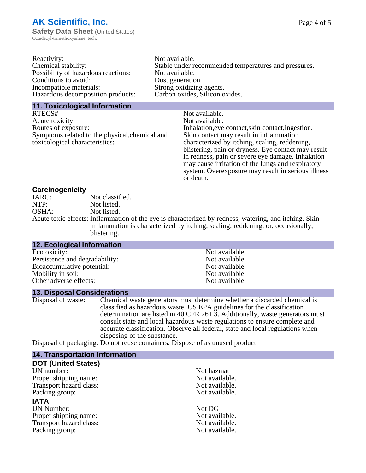| Reactivity:                         | Not available.                                       |
|-------------------------------------|------------------------------------------------------|
| Chemical stability:                 | Stable under recommended temperatures and pressures. |
| Possibility of hazardous reactions: | Not available.                                       |
| Conditions to avoid:                | Dust generation.                                     |
| Incompatible materials:             | Strong oxidizing agents.                             |
| Hazardous decomposition products:   | Carbon oxides, Silicon oxides.                       |
|                                     |                                                      |

#### **11. Toxicological Information**

| RTECS#                                         | Not available.                                      |
|------------------------------------------------|-----------------------------------------------------|
| Acute toxicity:                                | Not available.                                      |
| Routes of exposure:                            | Inhalation, eye contact, skin contact, ingestion.   |
| Symptoms related to the physical, chemical and | Skin contact may result in inflammation             |
| toxicological characteristics:                 | characterized by itching, scaling, reddening,       |
|                                                | blistering, pain or dryness. Eye contact may result |
|                                                | in redness, pain or severe eye damage. Inhalation   |
|                                                | may cause irritation of the lungs and respiratory   |
|                                                | system. Overexposure may result in serious illness  |

or death.

#### **Carcinogenicity**

| IARC: | Not classified.                                                                                       |
|-------|-------------------------------------------------------------------------------------------------------|
| NTP:  | Not listed.                                                                                           |
| OSHA: | Not listed.                                                                                           |
|       | Acute toxic effects: Inflammation of the eye is characterized by redness, watering, and itching. Skin |
|       | inflammation is characterized by itching, scaling, reddening, or, occasionally,                       |
|       | blistering.                                                                                           |

| <b>12. Ecological Information</b> |                |
|-----------------------------------|----------------|
| Ecotoxicity:                      | Not available. |
| Persistence and degradability:    | Not available. |
| Bioaccumulative potential:        | Not available. |
| Mobility in soil:                 | Not available. |
| Other adverse effects:            | Not available. |

#### **13. Disposal Considerations**

Disposal of waste: Chemical waste generators must determine whether a discarded chemical is classified as hazardous waste. US EPA guidelines for the classification determination are listed in 40 CFR 261.3. Additionally, waste generators must consult state and local hazardous waste regulations to ensure complete and accurate classification. Observe all federal, state and local regulations when disposing of the substance.

Disposal of packaging: Do not reuse containers. Dispose of as unused product.

| <b>14. Transportation Information</b> |                |
|---------------------------------------|----------------|
| <b>DOT (United States)</b>            |                |
| UN number:                            | Not hazmat     |
| Proper shipping name:                 | Not available. |
| Transport hazard class:               | Not available. |
| Packing group:                        | Not available. |
| <b>IATA</b>                           |                |
| <b>UN Number:</b>                     | Not DG         |
| Proper shipping name:                 | Not available. |
| Transport hazard class:               | Not available. |
| Packing group:                        | Not available. |